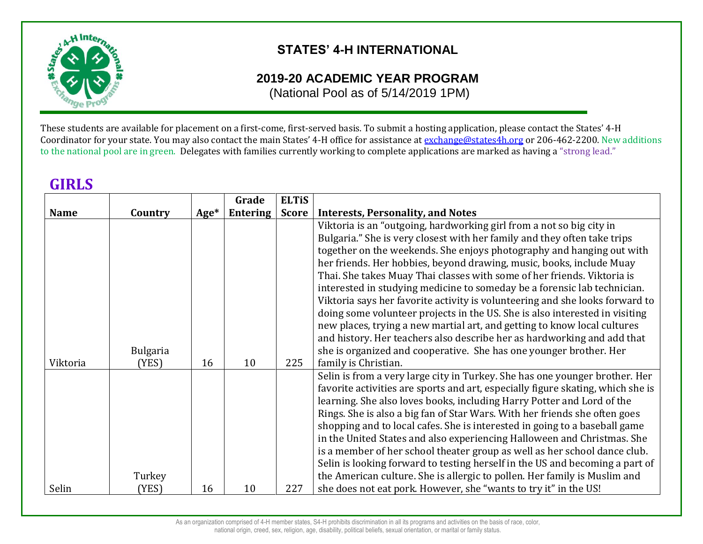

**GIRLS**

## **STATES' 4-H INTERNATIONAL**

## **2019-20 ACADEMIC YEAR PROGRAM**

(National Pool as of 5/14/2019 1PM)

These students are available for placement on a first-come, first-served basis. To submit a hosting application, please contact the States' 4-H Coordinator for your state. You may also contact the main States' 4-H office for assistance at [exchange@states4h.org](mailto:exchange@states4h.org) or 206-462-2200. New additions to the national pool are in green. Delegates with families currently working to complete applications are marked as having a "strong lead."

| <b>GIRL</b> D |                          |        |                 |              |                                                                                                                                               |
|---------------|--------------------------|--------|-----------------|--------------|-----------------------------------------------------------------------------------------------------------------------------------------------|
|               |                          |        | Grade           | <b>ELTIS</b> |                                                                                                                                               |
| <b>Name</b>   | Country                  | $Age*$ | <b>Entering</b> | <b>Score</b> | <b>Interests, Personality, and Notes</b>                                                                                                      |
|               |                          |        |                 |              | Viktoria is an "outgoing, hardworking girl from a not so big city in                                                                          |
|               |                          |        |                 |              | Bulgaria." She is very closest with her family and they often take trips                                                                      |
|               |                          |        |                 |              | together on the weekends. She enjoys photography and hanging out with                                                                         |
|               |                          |        |                 |              | her friends. Her hobbies, beyond drawing, music, books, include Muay                                                                          |
|               |                          |        |                 |              | Thai. She takes Muay Thai classes with some of her friends. Viktoria is                                                                       |
|               |                          |        |                 |              | interested in studying medicine to someday be a forensic lab technician.                                                                      |
|               |                          |        |                 |              | Viktoria says her favorite activity is volunteering and she looks forward to                                                                  |
|               |                          |        |                 |              | doing some volunteer projects in the US. She is also interested in visiting                                                                   |
|               |                          |        |                 |              | new places, trying a new martial art, and getting to know local cultures                                                                      |
|               |                          |        |                 |              | and history. Her teachers also describe her as hardworking and add that<br>she is organized and cooperative. She has one younger brother. Her |
| Viktoria      | <b>Bulgaria</b><br>(YES) | 16     | 10              | 225          | family is Christian.                                                                                                                          |
|               |                          |        |                 |              | Selin is from a very large city in Turkey. She has one younger brother. Her                                                                   |
|               |                          |        |                 |              | favorite activities are sports and art, especially figure skating, which she is                                                               |
|               |                          |        |                 |              | learning. She also loves books, including Harry Potter and Lord of the                                                                        |
|               |                          |        |                 |              | Rings. She is also a big fan of Star Wars. With her friends she often goes                                                                    |
|               |                          |        |                 |              | shopping and to local cafes. She is interested in going to a baseball game                                                                    |
|               |                          |        |                 |              | in the United States and also experiencing Halloween and Christmas. She                                                                       |
|               |                          |        |                 |              | is a member of her school theater group as well as her school dance club.                                                                     |
|               |                          |        |                 |              | Selin is looking forward to testing herself in the US and becoming a part of                                                                  |
|               | Turkey                   |        |                 |              | the American culture. She is allergic to pollen. Her family is Muslim and                                                                     |
| Selin         | (YES)                    | 16     | 10              | 227          | she does not eat pork. However, she "wants to try it" in the US!                                                                              |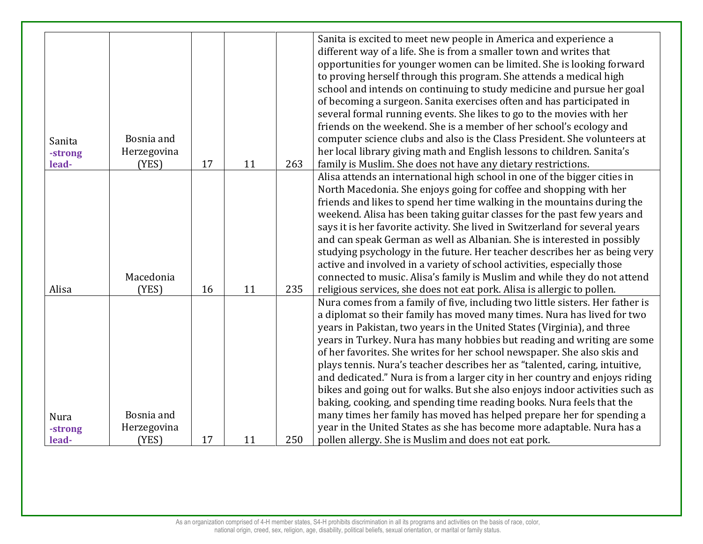|             |             |    |    |     | Sanita is excited to meet new people in America and experience a              |
|-------------|-------------|----|----|-----|-------------------------------------------------------------------------------|
|             |             |    |    |     | different way of a life. She is from a smaller town and writes that           |
|             |             |    |    |     | opportunities for younger women can be limited. She is looking forward        |
|             |             |    |    |     | to proving herself through this program. She attends a medical high           |
|             |             |    |    |     | school and intends on continuing to study medicine and pursue her goal        |
|             |             |    |    |     | of becoming a surgeon. Sanita exercises often and has participated in         |
|             |             |    |    |     | several formal running events. She likes to go to the movies with her         |
|             |             |    |    |     | friends on the weekend. She is a member of her school's ecology and           |
| Sanita      | Bosnia and  |    |    |     | computer science clubs and also is the Class President. She volunteers at     |
| -strong     | Herzegovina |    |    |     | her local library giving math and English lessons to children. Sanita's       |
| lead-       | (YES)       | 17 | 11 | 263 | family is Muslim. She does not have any dietary restrictions.                 |
|             |             |    |    |     | Alisa attends an international high school in one of the bigger cities in     |
|             |             |    |    |     | North Macedonia. She enjoys going for coffee and shopping with her            |
|             |             |    |    |     | friends and likes to spend her time walking in the mountains during the       |
|             |             |    |    |     | weekend. Alisa has been taking guitar classes for the past few years and      |
|             |             |    |    |     | says it is her favorite activity. She lived in Switzerland for several years  |
|             |             |    |    |     | and can speak German as well as Albanian. She is interested in possibly       |
|             |             |    |    |     | studying psychology in the future. Her teacher describes her as being very    |
|             |             |    |    |     | active and involved in a variety of school activities, especially those       |
|             | Macedonia   |    |    |     |                                                                               |
| Alisa       |             | 16 | 11 | 235 | connected to music. Alisa's family is Muslim and while they do not attend     |
|             | (YES)       |    |    |     | religious services, she does not eat pork. Alisa is allergic to pollen.       |
|             |             |    |    |     | Nura comes from a family of five, including two little sisters. Her father is |
|             |             |    |    |     | a diplomat so their family has moved many times. Nura has lived for two       |
|             |             |    |    |     | years in Pakistan, two years in the United States (Virginia), and three       |
|             |             |    |    |     | years in Turkey. Nura has many hobbies but reading and writing are some       |
|             |             |    |    |     | of her favorites. She writes for her school newspaper. She also skis and      |
|             |             |    |    |     | plays tennis. Nura's teacher describes her as "talented, caring, intuitive,   |
|             |             |    |    |     | and dedicated." Nura is from a larger city in her country and enjoys riding   |
|             |             |    |    |     | bikes and going out for walks. But she also enjoys indoor activities such as  |
|             |             |    |    |     | baking, cooking, and spending time reading books. Nura feels that the         |
| <b>Nura</b> | Bosnia and  |    |    |     | many times her family has moved has helped prepare her for spending a         |
| -strong     | Herzegovina |    |    |     | year in the United States as she has become more adaptable. Nura has a        |
| lead-       | (YES)       | 17 | 11 | 250 | pollen allergy. She is Muslim and does not eat pork.                          |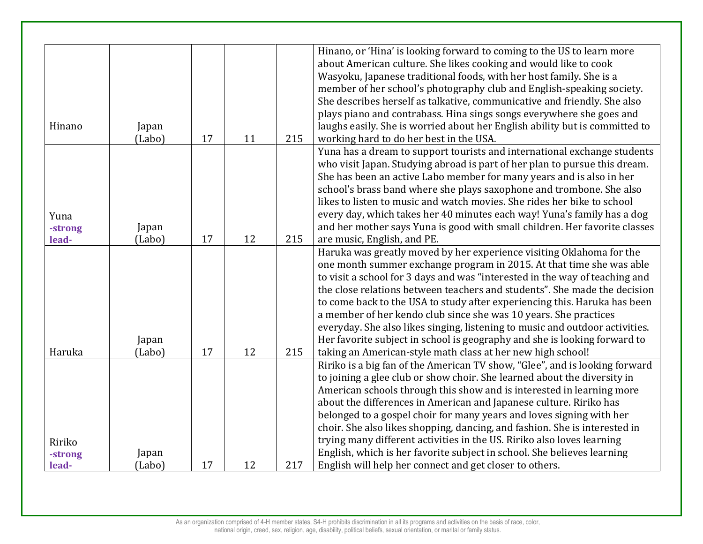|         |        |    |    |     | Hinano, or 'Hina' is looking forward to coming to the US to learn more       |
|---------|--------|----|----|-----|------------------------------------------------------------------------------|
|         |        |    |    |     | about American culture. She likes cooking and would like to cook             |
|         |        |    |    |     | Wasyoku, Japanese traditional foods, with her host family. She is a          |
|         |        |    |    |     | member of her school's photography club and English-speaking society.        |
|         |        |    |    |     | She describes herself as talkative, communicative and friendly. She also     |
|         |        |    |    |     | plays piano and contrabass. Hina sings songs everywhere she goes and         |
| Hinano  | Japan  |    |    |     | laughs easily. She is worried about her English ability but is committed to  |
|         | (Labo) | 17 | 11 | 215 | working hard to do her best in the USA.                                      |
|         |        |    |    |     | Yuna has a dream to support tourists and international exchange students     |
|         |        |    |    |     | who visit Japan. Studying abroad is part of her plan to pursue this dream.   |
|         |        |    |    |     | She has been an active Labo member for many years and is also in her         |
|         |        |    |    |     | school's brass band where she plays saxophone and trombone. She also         |
|         |        |    |    |     | likes to listen to music and watch movies. She rides her bike to school      |
| Yuna    |        |    |    |     | every day, which takes her 40 minutes each way! Yuna's family has a dog      |
| -strong | Japan  |    |    |     | and her mother says Yuna is good with small children. Her favorite classes   |
| lead-   | (Labo) | 17 | 12 | 215 | are music, English, and PE.                                                  |
|         |        |    |    |     | Haruka was greatly moved by her experience visiting Oklahoma for the         |
|         |        |    |    |     | one month summer exchange program in 2015. At that time she was able         |
|         |        |    |    |     | to visit a school for 3 days and was "interested in the way of teaching and  |
|         |        |    |    |     | the close relations between teachers and students". She made the decision    |
|         |        |    |    |     | to come back to the USA to study after experiencing this. Haruka has been    |
|         |        |    |    |     | a member of her kendo club since she was 10 years. She practices             |
|         |        |    |    |     | everyday. She also likes singing, listening to music and outdoor activities. |
|         | Japan  |    |    |     | Her favorite subject in school is geography and she is looking forward to    |
| Haruka  | (Labo) | 17 | 12 | 215 | taking an American-style math class at her new high school!                  |
|         |        |    |    |     | Ririko is a big fan of the American TV show, "Glee", and is looking forward  |
|         |        |    |    |     | to joining a glee club or show choir. She learned about the diversity in     |
|         |        |    |    |     | American schools through this show and is interested in learning more        |
|         |        |    |    |     | about the differences in American and Japanese culture. Ririko has           |
|         |        |    |    |     | belonged to a gospel choir for many years and loves signing with her         |
|         |        |    |    |     | choir. She also likes shopping, dancing, and fashion. She is interested in   |
| Ririko  |        |    |    |     | trying many different activities in the US. Ririko also loves learning       |
| -strong | Japan  |    |    |     | English, which is her favorite subject in school. She believes learning      |
| lead-   | (Labo) | 17 | 12 | 217 | English will help her connect and get closer to others.                      |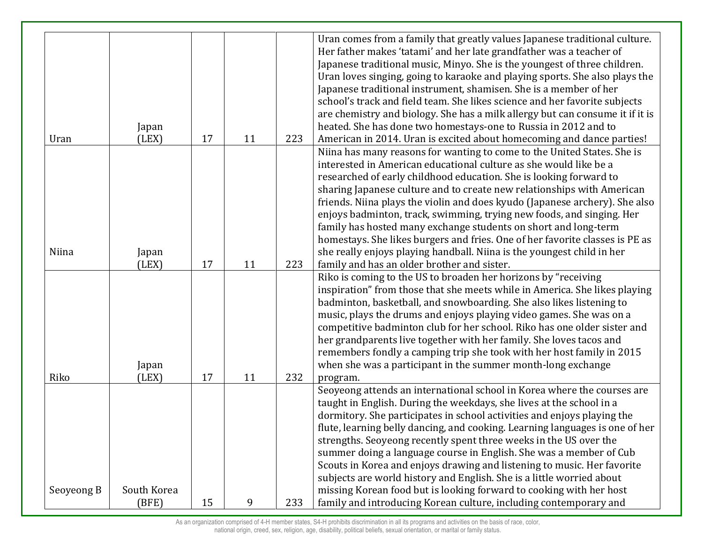| Uran       | Japan<br>(LEX) | 17 | 11 | 223 | Uran comes from a family that greatly values Japanese traditional culture.<br>Her father makes 'tatami' and her late grandfather was a teacher of<br>Japanese traditional music, Minyo. She is the youngest of three children.<br>Uran loves singing, going to karaoke and playing sports. She also plays the<br>Japanese traditional instrument, shamisen. She is a member of her<br>school's track and field team. She likes science and her favorite subjects<br>are chemistry and biology. She has a milk allergy but can consume it if it is<br>heated. She has done two homestays-one to Russia in 2012 and to<br>American in 2014. Uran is excited about homecoming and dance parties!                                    |
|------------|----------------|----|----|-----|----------------------------------------------------------------------------------------------------------------------------------------------------------------------------------------------------------------------------------------------------------------------------------------------------------------------------------------------------------------------------------------------------------------------------------------------------------------------------------------------------------------------------------------------------------------------------------------------------------------------------------------------------------------------------------------------------------------------------------|
|            |                |    |    |     |                                                                                                                                                                                                                                                                                                                                                                                                                                                                                                                                                                                                                                                                                                                                  |
| Niina      | Japan<br>(LEX) | 17 | 11 | 223 | Niina has many reasons for wanting to come to the United States. She is<br>interested in American educational culture as she would like be a<br>researched of early childhood education. She is looking forward to<br>sharing Japanese culture and to create new relationships with American<br>friends. Niina plays the violin and does kyudo (Japanese archery). She also<br>enjoys badminton, track, swimming, trying new foods, and singing. Her<br>family has hosted many exchange students on short and long-term<br>homestays. She likes burgers and fries. One of her favorite classes is PE as<br>she really enjoys playing handball. Niina is the youngest child in her<br>family and has an older brother and sister. |
| Riko       | Japan<br>(LEX) | 17 | 11 | 232 | Riko is coming to the US to broaden her horizons by "receiving<br>inspiration" from those that she meets while in America. She likes playing<br>badminton, basketball, and snowboarding. She also likes listening to<br>music, plays the drums and enjoys playing video games. She was on a<br>competitive badminton club for her school. Riko has one older sister and<br>her grandparents live together with her family. She loves tacos and<br>remembers fondly a camping trip she took with her host family in 2015<br>when she was a participant in the summer month-long exchange<br>program.                                                                                                                              |
| Seoyeong B | South Korea    |    |    |     | Seoyeong attends an international school in Korea where the courses are<br>taught in English. During the weekdays, she lives at the school in a<br>dormitory. She participates in school activities and enjoys playing the<br>flute, learning belly dancing, and cooking. Learning languages is one of her<br>strengths. Seoyeong recently spent three weeks in the US over the<br>summer doing a language course in English. She was a member of Cub<br>Scouts in Korea and enjoys drawing and listening to music. Her favorite<br>subjects are world history and English. She is a little worried about<br>missing Korean food but is looking forward to cooking with her host                                                 |
|            | (BFE)          | 15 | 9  | 233 | family and introducing Korean culture, including contemporary and                                                                                                                                                                                                                                                                                                                                                                                                                                                                                                                                                                                                                                                                |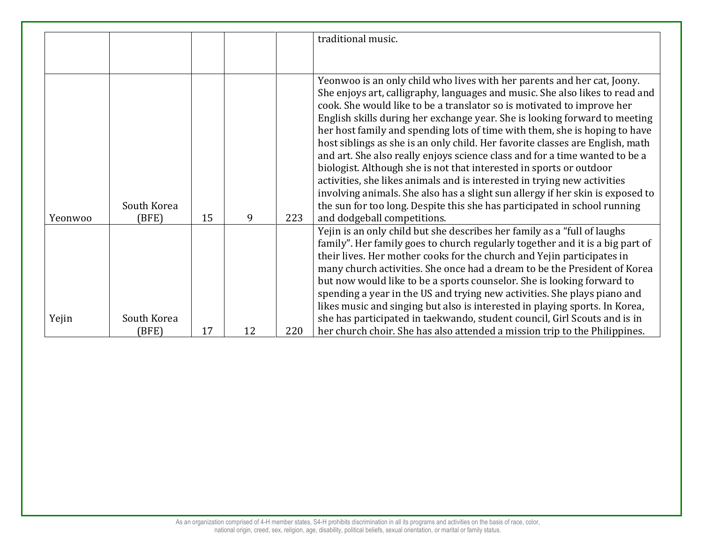|         |                      |    |    |     | traditional music.                                                                                                                                                                                                                                                                                                                                                                                                                                                                                                                                                                                                                                                                                                                                                                                                                                                                                             |
|---------|----------------------|----|----|-----|----------------------------------------------------------------------------------------------------------------------------------------------------------------------------------------------------------------------------------------------------------------------------------------------------------------------------------------------------------------------------------------------------------------------------------------------------------------------------------------------------------------------------------------------------------------------------------------------------------------------------------------------------------------------------------------------------------------------------------------------------------------------------------------------------------------------------------------------------------------------------------------------------------------|
|         |                      |    |    |     |                                                                                                                                                                                                                                                                                                                                                                                                                                                                                                                                                                                                                                                                                                                                                                                                                                                                                                                |
| Yeonwoo | South Korea<br>(BFE) | 15 | 9  | 223 | Yeonwoo is an only child who lives with her parents and her cat, Joony.<br>She enjoys art, calligraphy, languages and music. She also likes to read and<br>cook. She would like to be a translator so is motivated to improve her<br>English skills during her exchange year. She is looking forward to meeting<br>her host family and spending lots of time with them, she is hoping to have<br>host siblings as she is an only child. Her favorite classes are English, math<br>and art. She also really enjoys science class and for a time wanted to be a<br>biologist. Although she is not that interested in sports or outdoor<br>activities, she likes animals and is interested in trying new activities<br>involving animals. She also has a slight sun allergy if her skin is exposed to<br>the sun for too long. Despite this she has participated in school running<br>and dodgeball competitions. |
|         |                      |    |    |     | Yejin is an only child but she describes her family as a "full of laughs"<br>family". Her family goes to church regularly together and it is a big part of<br>their lives. Her mother cooks for the church and Yejin participates in<br>many church activities. She once had a dream to be the President of Korea<br>but now would like to be a sports counselor. She is looking forward to<br>spending a year in the US and trying new activities. She plays piano and<br>likes music and singing but also is interested in playing sports. In Korea,                                                                                                                                                                                                                                                                                                                                                         |
| Yejin   | South Korea<br>(BFE) | 17 | 12 | 220 | she has participated in taekwando, student council, Girl Scouts and is in<br>her church choir. She has also attended a mission trip to the Philippines.                                                                                                                                                                                                                                                                                                                                                                                                                                                                                                                                                                                                                                                                                                                                                        |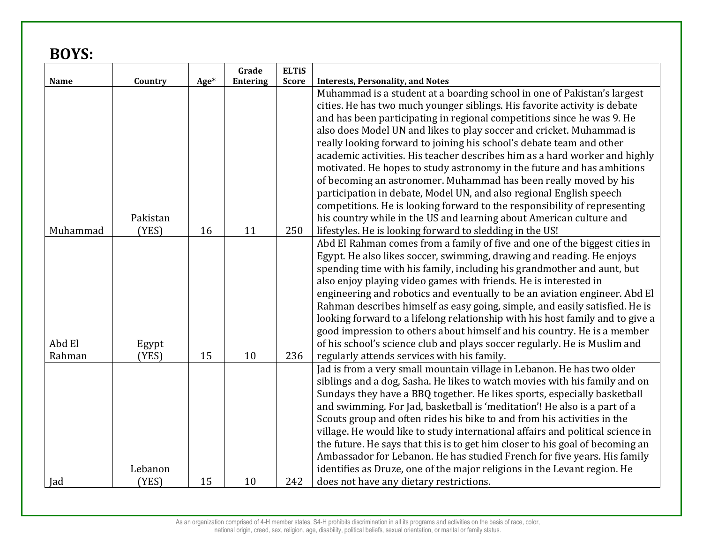## **BOYS:**

|          |          |      | Grade           | <b>ELTIS</b> |                                                                                |
|----------|----------|------|-----------------|--------------|--------------------------------------------------------------------------------|
| Name     | Country  | Age* | <b>Entering</b> | <b>Score</b> | <b>Interests, Personality, and Notes</b>                                       |
|          |          |      |                 |              | Muhammad is a student at a boarding school in one of Pakistan's largest        |
|          |          |      |                 |              | cities. He has two much younger siblings. His favorite activity is debate      |
|          |          |      |                 |              | and has been participating in regional competitions since he was 9. He         |
|          |          |      |                 |              | also does Model UN and likes to play soccer and cricket. Muhammad is           |
|          |          |      |                 |              | really looking forward to joining his school's debate team and other           |
|          |          |      |                 |              | academic activities. His teacher describes him as a hard worker and highly     |
|          |          |      |                 |              | motivated. He hopes to study astronomy in the future and has ambitions         |
|          |          |      |                 |              | of becoming an astronomer. Muhammad has been really moved by his               |
|          |          |      |                 |              | participation in debate, Model UN, and also regional English speech            |
|          |          |      |                 |              | competitions. He is looking forward to the responsibility of representing      |
|          | Pakistan |      |                 |              | his country while in the US and learning about American culture and            |
| Muhammad | (YES)    | 16   | 11              | 250          | lifestyles. He is looking forward to sledding in the US!                       |
|          |          |      |                 |              | Abd El Rahman comes from a family of five and one of the biggest cities in     |
|          |          |      |                 |              | Egypt. He also likes soccer, swimming, drawing and reading. He enjoys          |
|          |          |      |                 |              | spending time with his family, including his grandmother and aunt, but         |
|          |          |      |                 |              | also enjoy playing video games with friends. He is interested in               |
|          |          |      |                 |              | engineering and robotics and eventually to be an aviation engineer. Abd El     |
|          |          |      |                 |              | Rahman describes himself as easy going, simple, and easily satisfied. He is    |
|          |          |      |                 |              | looking forward to a lifelong relationship with his host family and to give a  |
|          |          |      |                 |              | good impression to others about himself and his country. He is a member        |
| Abd El   | Egypt    |      |                 |              | of his school's science club and plays soccer regularly. He is Muslim and      |
| Rahman   | (YES)    | 15   | 10              | 236          | regularly attends services with his family.                                    |
|          |          |      |                 |              | Jad is from a very small mountain village in Lebanon. He has two older         |
|          |          |      |                 |              | siblings and a dog, Sasha. He likes to watch movies with his family and on     |
|          |          |      |                 |              | Sundays they have a BBQ together. He likes sports, especially basketball       |
|          |          |      |                 |              | and swimming. For Jad, basketball is 'meditation'! He also is a part of a      |
|          |          |      |                 |              | Scouts group and often rides his bike to and from his activities in the        |
|          |          |      |                 |              | village. He would like to study international affairs and political science in |
|          |          |      |                 |              | the future. He says that this is to get him closer to his goal of becoming an  |
|          |          |      |                 |              | Ambassador for Lebanon. He has studied French for five years. His family       |
|          | Lebanon  |      |                 |              | identifies as Druze, one of the major religions in the Levant region. He       |
| Jad      | (YES)    | 15   | 10              | 242          | does not have any dietary restrictions.                                        |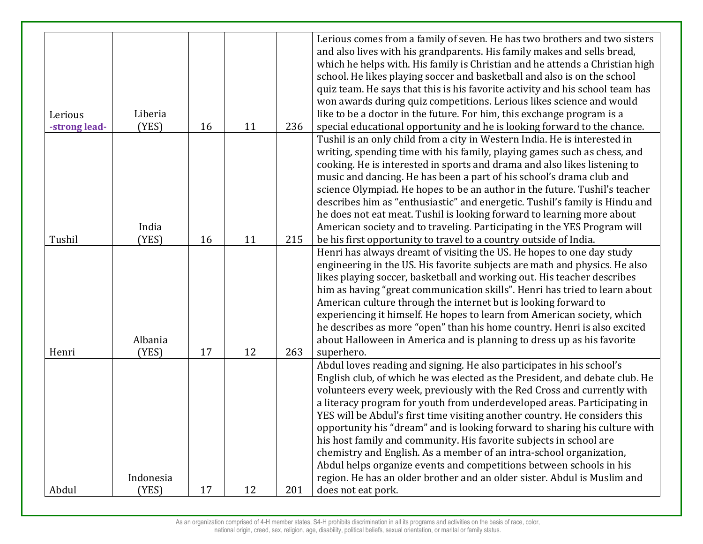|               |           |    |    |     | Lerious comes from a family of seven. He has two brothers and two sisters     |
|---------------|-----------|----|----|-----|-------------------------------------------------------------------------------|
|               |           |    |    |     | and also lives with his grandparents. His family makes and sells bread,       |
|               |           |    |    |     | which he helps with. His family is Christian and he attends a Christian high  |
|               |           |    |    |     | school. He likes playing soccer and basketball and also is on the school      |
|               |           |    |    |     | quiz team. He says that this is his favorite activity and his school team has |
|               |           |    |    |     | won awards during quiz competitions. Lerious likes science and would          |
| Lerious       | Liberia   |    |    |     | like to be a doctor in the future. For him, this exchange program is a        |
| -strong lead- | (YES)     | 16 | 11 | 236 | special educational opportunity and he is looking forward to the chance.      |
|               |           |    |    |     | Tushil is an only child from a city in Western India. He is interested in     |
|               |           |    |    |     | writing, spending time with his family, playing games such as chess, and      |
|               |           |    |    |     | cooking. He is interested in sports and drama and also likes listening to     |
|               |           |    |    |     | music and dancing. He has been a part of his school's drama club and          |
|               |           |    |    |     | science Olympiad. He hopes to be an author in the future. Tushil's teacher    |
|               |           |    |    |     | describes him as "enthusiastic" and energetic. Tushil's family is Hindu and   |
|               |           |    |    |     | he does not eat meat. Tushil is looking forward to learning more about        |
|               | India     |    |    |     | American society and to traveling. Participating in the YES Program will      |
| Tushil        | (YES)     | 16 | 11 | 215 | be his first opportunity to travel to a country outside of India.             |
|               |           |    |    |     | Henri has always dreamt of visiting the US. He hopes to one day study         |
|               |           |    |    |     | engineering in the US. His favorite subjects are math and physics. He also    |
|               |           |    |    |     | likes playing soccer, basketball and working out. His teacher describes       |
|               |           |    |    |     | him as having "great communication skills". Henri has tried to learn about    |
|               |           |    |    |     | American culture through the internet but is looking forward to               |
|               |           |    |    |     | experiencing it himself. He hopes to learn from American society, which       |
|               |           |    |    |     | he describes as more "open" than his home country. Henri is also excited      |
|               | Albania   |    |    |     | about Halloween in America and is planning to dress up as his favorite        |
| Henri         | (YES)     | 17 | 12 | 263 | superhero.                                                                    |
|               |           |    |    |     | Abdul loves reading and signing. He also participates in his school's         |
|               |           |    |    |     | English club, of which he was elected as the President, and debate club. He   |
|               |           |    |    |     | volunteers every week, previously with the Red Cross and currently with       |
|               |           |    |    |     | a literacy program for youth from underdeveloped areas. Participating in      |
|               |           |    |    |     | YES will be Abdul's first time visiting another country. He considers this    |
|               |           |    |    |     | opportunity his "dream" and is looking forward to sharing his culture with    |
|               |           |    |    |     | his host family and community. His favorite subjects in school are            |
|               |           |    |    |     | chemistry and English. As a member of an intra-school organization,           |
|               |           |    |    |     | Abdul helps organize events and competitions between schools in his           |
|               | Indonesia |    |    |     | region. He has an older brother and an older sister. Abdul is Muslim and      |
| Abdul         | (YES)     | 17 | 12 | 201 | does not eat pork.                                                            |
|               |           |    |    |     |                                                                               |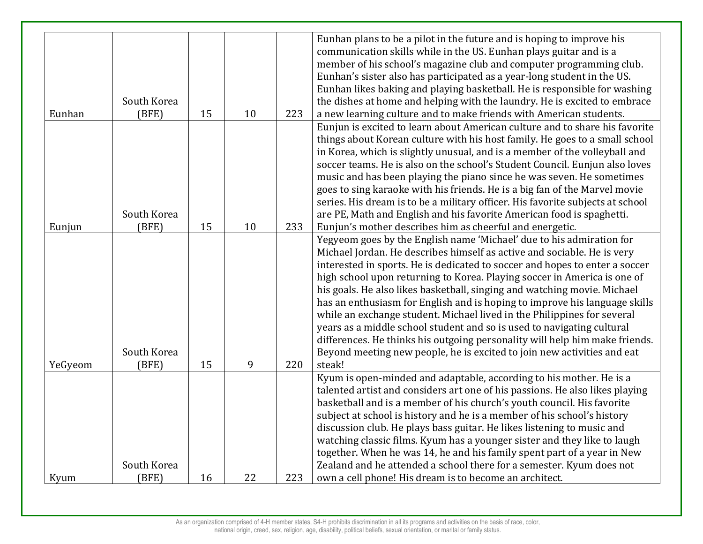| Eunhan plans to be a pilot in the future and is hoping to improve his<br>communication skills while in the US. Eunhan plays guitar and is a<br>member of his school's magazine club and computer programming club.<br>Eunhan's sister also has participated as a year-long student in the US.<br>Eunhan likes baking and playing basketball. He is responsible for washing<br>South Korea<br>the dishes at home and helping with the laundry. He is excited to embrace<br>Eunhan<br>(BFE)<br>15<br>10<br>223<br>a new learning culture and to make friends with American students.<br>Eunjun is excited to learn about American culture and to share his favorite<br>things about Korean culture with his host family. He goes to a small school<br>in Korea, which is slightly unusual, and is a member of the volleyball and |
|--------------------------------------------------------------------------------------------------------------------------------------------------------------------------------------------------------------------------------------------------------------------------------------------------------------------------------------------------------------------------------------------------------------------------------------------------------------------------------------------------------------------------------------------------------------------------------------------------------------------------------------------------------------------------------------------------------------------------------------------------------------------------------------------------------------------------------|
|                                                                                                                                                                                                                                                                                                                                                                                                                                                                                                                                                                                                                                                                                                                                                                                                                                |
|                                                                                                                                                                                                                                                                                                                                                                                                                                                                                                                                                                                                                                                                                                                                                                                                                                |
|                                                                                                                                                                                                                                                                                                                                                                                                                                                                                                                                                                                                                                                                                                                                                                                                                                |
|                                                                                                                                                                                                                                                                                                                                                                                                                                                                                                                                                                                                                                                                                                                                                                                                                                |
|                                                                                                                                                                                                                                                                                                                                                                                                                                                                                                                                                                                                                                                                                                                                                                                                                                |
|                                                                                                                                                                                                                                                                                                                                                                                                                                                                                                                                                                                                                                                                                                                                                                                                                                |
|                                                                                                                                                                                                                                                                                                                                                                                                                                                                                                                                                                                                                                                                                                                                                                                                                                |
|                                                                                                                                                                                                                                                                                                                                                                                                                                                                                                                                                                                                                                                                                                                                                                                                                                |
|                                                                                                                                                                                                                                                                                                                                                                                                                                                                                                                                                                                                                                                                                                                                                                                                                                |
|                                                                                                                                                                                                                                                                                                                                                                                                                                                                                                                                                                                                                                                                                                                                                                                                                                |
| soccer teams. He is also on the school's Student Council. Eunjun also loves                                                                                                                                                                                                                                                                                                                                                                                                                                                                                                                                                                                                                                                                                                                                                    |
| music and has been playing the piano since he was seven. He sometimes                                                                                                                                                                                                                                                                                                                                                                                                                                                                                                                                                                                                                                                                                                                                                          |
| goes to sing karaoke with his friends. He is a big fan of the Marvel movie                                                                                                                                                                                                                                                                                                                                                                                                                                                                                                                                                                                                                                                                                                                                                     |
| series. His dream is to be a military officer. His favorite subjects at school                                                                                                                                                                                                                                                                                                                                                                                                                                                                                                                                                                                                                                                                                                                                                 |
| South Korea<br>are PE, Math and English and his favorite American food is spaghetti.                                                                                                                                                                                                                                                                                                                                                                                                                                                                                                                                                                                                                                                                                                                                           |
| 10<br>233<br>Eunjun's mother describes him as cheerful and energetic.<br>(BFE)<br>15<br>Eunjun                                                                                                                                                                                                                                                                                                                                                                                                                                                                                                                                                                                                                                                                                                                                 |
| Yegyeom goes by the English name 'Michael' due to his admiration for                                                                                                                                                                                                                                                                                                                                                                                                                                                                                                                                                                                                                                                                                                                                                           |
| Michael Jordan. He describes himself as active and sociable. He is very                                                                                                                                                                                                                                                                                                                                                                                                                                                                                                                                                                                                                                                                                                                                                        |
| interested in sports. He is dedicated to soccer and hopes to enter a soccer                                                                                                                                                                                                                                                                                                                                                                                                                                                                                                                                                                                                                                                                                                                                                    |
| high school upon returning to Korea. Playing soccer in America is one of                                                                                                                                                                                                                                                                                                                                                                                                                                                                                                                                                                                                                                                                                                                                                       |
| his goals. He also likes basketball, singing and watching movie. Michael                                                                                                                                                                                                                                                                                                                                                                                                                                                                                                                                                                                                                                                                                                                                                       |
| has an enthusiasm for English and is hoping to improve his language skills                                                                                                                                                                                                                                                                                                                                                                                                                                                                                                                                                                                                                                                                                                                                                     |
| while an exchange student. Michael lived in the Philippines for several                                                                                                                                                                                                                                                                                                                                                                                                                                                                                                                                                                                                                                                                                                                                                        |
| years as a middle school student and so is used to navigating cultural                                                                                                                                                                                                                                                                                                                                                                                                                                                                                                                                                                                                                                                                                                                                                         |
| differences. He thinks his outgoing personality will help him make friends.                                                                                                                                                                                                                                                                                                                                                                                                                                                                                                                                                                                                                                                                                                                                                    |
| South Korea<br>Beyond meeting new people, he is excited to join new activities and eat                                                                                                                                                                                                                                                                                                                                                                                                                                                                                                                                                                                                                                                                                                                                         |
| 9<br>steak!<br>220<br>YeGyeom<br>(BFE)<br>15                                                                                                                                                                                                                                                                                                                                                                                                                                                                                                                                                                                                                                                                                                                                                                                   |
| Kyum is open-minded and adaptable, according to his mother. He is a                                                                                                                                                                                                                                                                                                                                                                                                                                                                                                                                                                                                                                                                                                                                                            |
| talented artist and considers art one of his passions. He also likes playing                                                                                                                                                                                                                                                                                                                                                                                                                                                                                                                                                                                                                                                                                                                                                   |
| basketball and is a member of his church's youth council. His favorite                                                                                                                                                                                                                                                                                                                                                                                                                                                                                                                                                                                                                                                                                                                                                         |
| subject at school is history and he is a member of his school's history                                                                                                                                                                                                                                                                                                                                                                                                                                                                                                                                                                                                                                                                                                                                                        |
| discussion club. He plays bass guitar. He likes listening to music and                                                                                                                                                                                                                                                                                                                                                                                                                                                                                                                                                                                                                                                                                                                                                         |
| watching classic films. Kyum has a younger sister and they like to laugh                                                                                                                                                                                                                                                                                                                                                                                                                                                                                                                                                                                                                                                                                                                                                       |
| together. When he was 14, he and his family spent part of a year in New                                                                                                                                                                                                                                                                                                                                                                                                                                                                                                                                                                                                                                                                                                                                                        |
| South Korea<br>Zealand and he attended a school there for a semester. Kyum does not                                                                                                                                                                                                                                                                                                                                                                                                                                                                                                                                                                                                                                                                                                                                            |
| 223<br>(BFE)<br>16<br>22<br>own a cell phone! His dream is to become an architect.<br>Kyum                                                                                                                                                                                                                                                                                                                                                                                                                                                                                                                                                                                                                                                                                                                                     |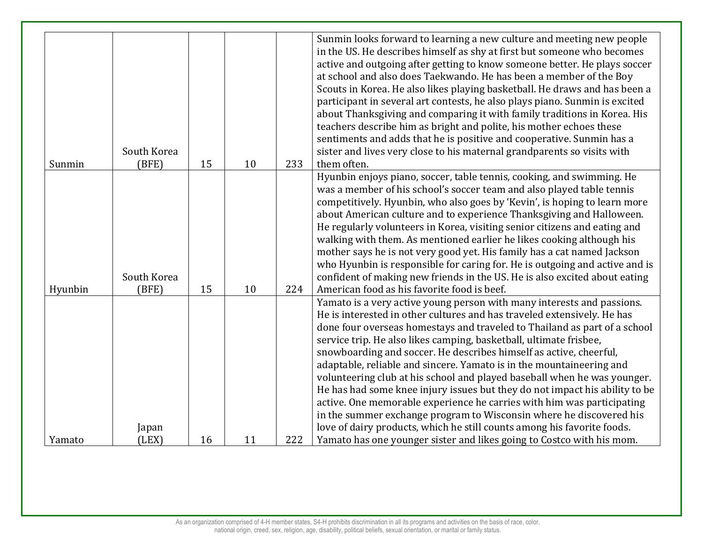|         |             |    |    |     | Sunmin looks forward to learning a new culture and meeting new people<br>in the US. He describes himself as shy at first but someone who becomes<br>active and outgoing after getting to know someone better. He plays soccer<br>at school and also does Taekwando. He has been a member of the Boy |
|---------|-------------|----|----|-----|-----------------------------------------------------------------------------------------------------------------------------------------------------------------------------------------------------------------------------------------------------------------------------------------------------|
|         |             |    |    |     | Scouts in Korea. He also likes playing basketball. He draws and has been a                                                                                                                                                                                                                          |
|         |             |    |    |     | participant in several art contests, he also plays piano. Sunmin is excited<br>about Thanksgiving and comparing it with family traditions in Korea. His                                                                                                                                             |
|         |             |    |    |     | teachers describe him as bright and polite, his mother echoes these                                                                                                                                                                                                                                 |
|         |             |    |    |     | sentiments and adds that he is positive and cooperative. Sunmin has a                                                                                                                                                                                                                               |
| Sunmin  | South Korea |    | 10 | 233 | sister and lives very close to his maternal grandparents so visits with<br>them often.                                                                                                                                                                                                              |
|         | (BFE)       | 15 |    |     | Hyunbin enjoys piano, soccer, table tennis, cooking, and swimming. He                                                                                                                                                                                                                               |
|         |             |    |    |     | was a member of his school's soccer team and also played table tennis                                                                                                                                                                                                                               |
|         |             |    |    |     | competitively. Hyunbin, who also goes by 'Kevin', is hoping to learn more                                                                                                                                                                                                                           |
|         |             |    |    |     | about American culture and to experience Thanksgiving and Halloween.                                                                                                                                                                                                                                |
|         |             |    |    |     | He regularly volunteers in Korea, visiting senior citizens and eating and                                                                                                                                                                                                                           |
|         |             |    |    |     | walking with them. As mentioned earlier he likes cooking although his                                                                                                                                                                                                                               |
|         |             |    |    |     | mother says he is not very good yet. His family has a cat named Jackson                                                                                                                                                                                                                             |
|         |             |    |    |     | who Hyunbin is responsible for caring for. He is outgoing and active and is                                                                                                                                                                                                                         |
|         | South Korea |    |    |     | confident of making new friends in the US. He is also excited about eating                                                                                                                                                                                                                          |
| Hyunbin | (BFE)       | 15 | 10 | 224 | American food as his favorite food is beef.                                                                                                                                                                                                                                                         |
|         |             |    |    |     | Yamato is a very active young person with many interests and passions.                                                                                                                                                                                                                              |
|         |             |    |    |     | He is interested in other cultures and has traveled extensively. He has                                                                                                                                                                                                                             |
|         |             |    |    |     | done four overseas homestays and traveled to Thailand as part of a school                                                                                                                                                                                                                           |
|         |             |    |    |     | service trip. He also likes camping, basketball, ultimate frisbee,                                                                                                                                                                                                                                  |
|         |             |    |    |     | snowboarding and soccer. He describes himself as active, cheerful,                                                                                                                                                                                                                                  |
|         |             |    |    |     | adaptable, reliable and sincere. Yamato is in the mountaineering and                                                                                                                                                                                                                                |
|         |             |    |    |     | volunteering club at his school and played baseball when he was younger.                                                                                                                                                                                                                            |
|         |             |    |    |     | He has had some knee injury issues but they do not impact his ability to be                                                                                                                                                                                                                         |
|         |             |    |    |     | active. One memorable experience he carries with him was participating                                                                                                                                                                                                                              |
|         |             |    |    |     | in the summer exchange program to Wisconsin where he discovered his                                                                                                                                                                                                                                 |
|         | Japan       |    |    |     | love of dairy products, which he still counts among his favorite foods.                                                                                                                                                                                                                             |
| Yamato  | (LEX)       | 16 | 11 | 222 | Yamato has one younger sister and likes going to Costco with his mom.                                                                                                                                                                                                                               |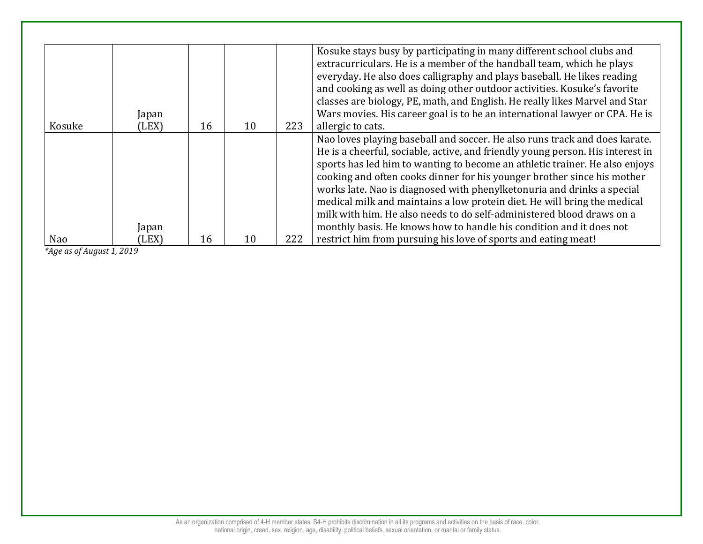| Kosuke | Japan<br>(LEX) | 16 | 10 | 223 | Kosuke stays busy by participating in many different school clubs and<br>extracurriculars. He is a member of the handball team, which he plays<br>everyday. He also does calligraphy and plays baseball. He likes reading<br>and cooking as well as doing other outdoor activities. Kosuke's favorite<br>classes are biology, PE, math, and English. He really likes Marvel and Star<br>Wars movies. His career goal is to be an international lawyer or CPA. He is<br>allergic to cats. |
|--------|----------------|----|----|-----|------------------------------------------------------------------------------------------------------------------------------------------------------------------------------------------------------------------------------------------------------------------------------------------------------------------------------------------------------------------------------------------------------------------------------------------------------------------------------------------|
|        |                |    |    |     | Nao loves playing baseball and soccer. He also runs track and does karate.                                                                                                                                                                                                                                                                                                                                                                                                               |
|        |                |    |    |     | He is a cheerful, sociable, active, and friendly young person. His interest in                                                                                                                                                                                                                                                                                                                                                                                                           |
|        |                |    |    |     | sports has led him to wanting to become an athletic trainer. He also enjoys                                                                                                                                                                                                                                                                                                                                                                                                              |
|        |                |    |    |     | cooking and often cooks dinner for his younger brother since his mother                                                                                                                                                                                                                                                                                                                                                                                                                  |
|        |                |    |    |     | works late. Nao is diagnosed with phenylketonuria and drinks a special                                                                                                                                                                                                                                                                                                                                                                                                                   |
|        |                |    |    |     | medical milk and maintains a low protein diet. He will bring the medical                                                                                                                                                                                                                                                                                                                                                                                                                 |
|        |                |    |    |     | milk with him. He also needs to do self-administered blood draws on a                                                                                                                                                                                                                                                                                                                                                                                                                    |
|        | Japan          |    |    |     | monthly basis. He knows how to handle his condition and it does not                                                                                                                                                                                                                                                                                                                                                                                                                      |
| Nao    | (LEX)          | 16 | 10 | 222 | restrict him from pursuing his love of sports and eating meat!                                                                                                                                                                                                                                                                                                                                                                                                                           |

*\*Age as of August 1, 2019*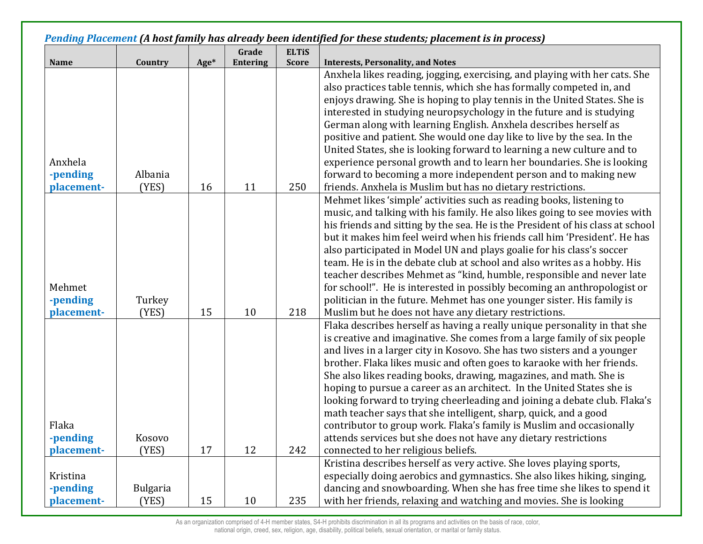|                                    |                          |      |                 |              | Pending Placement (A host family has already been identified for these students; placement is in process)                                                                                                                                                                                                                                                                                                                                                                                                                                                                                                                                                                                                                                                                                     |
|------------------------------------|--------------------------|------|-----------------|--------------|-----------------------------------------------------------------------------------------------------------------------------------------------------------------------------------------------------------------------------------------------------------------------------------------------------------------------------------------------------------------------------------------------------------------------------------------------------------------------------------------------------------------------------------------------------------------------------------------------------------------------------------------------------------------------------------------------------------------------------------------------------------------------------------------------|
|                                    |                          |      | Grade           | <b>ELTIS</b> |                                                                                                                                                                                                                                                                                                                                                                                                                                                                                                                                                                                                                                                                                                                                                                                               |
| <b>Name</b>                        | Country                  | Age* | <b>Entering</b> | <b>Score</b> | <b>Interests, Personality, and Notes</b>                                                                                                                                                                                                                                                                                                                                                                                                                                                                                                                                                                                                                                                                                                                                                      |
| Anxhela<br>-pending<br>placement-  | Albania<br>(YES)         | 16   | 11              | 250          | Anxhela likes reading, jogging, exercising, and playing with her cats. She<br>also practices table tennis, which she has formally competed in, and<br>enjoys drawing. She is hoping to play tennis in the United States. She is<br>interested in studying neuropsychology in the future and is studying<br>German along with learning English. Anxhela describes herself as<br>positive and patient. She would one day like to live by the sea. In the<br>United States, she is looking forward to learning a new culture and to<br>experience personal growth and to learn her boundaries. She is looking<br>forward to becoming a more independent person and to making new<br>friends. Anxhela is Muslim but has no dietary restrictions.                                                  |
| Mehmet<br>-pending<br>placement-   | Turkey<br>(YES)          | 15   | 10              | 218          | Mehmet likes 'simple' activities such as reading books, listening to<br>music, and talking with his family. He also likes going to see movies with<br>his friends and sitting by the sea. He is the President of his class at school<br>but it makes him feel weird when his friends call him 'President'. He has<br>also participated in Model UN and plays goalie for his class's soccer<br>team. He is in the debate club at school and also writes as a hobby. His<br>teacher describes Mehmet as "kind, humble, responsible and never late<br>for school!". He is interested in possibly becoming an anthropologist or<br>politician in the future. Mehmet has one younger sister. His family is<br>Muslim but he does not have any dietary restrictions.                                |
| Flaka<br>-pending<br>placement-    | Kosovo<br>(YES)          | 17   | 12              | 242          | Flaka describes herself as having a really unique personality in that she<br>is creative and imaginative. She comes from a large family of six people<br>and lives in a larger city in Kosovo. She has two sisters and a younger<br>brother. Flaka likes music and often goes to karaoke with her friends.<br>She also likes reading books, drawing, magazines, and math. She is<br>hoping to pursue a career as an architect. In the United States she is<br>looking forward to trying cheerleading and joining a debate club. Flaka's<br>math teacher says that she intelligent, sharp, quick, and a good<br>contributor to group work. Flaka's family is Muslim and occasionally<br>attends services but she does not have any dietary restrictions<br>connected to her religious beliefs. |
| Kristina<br>-pending<br>placement- | <b>Bulgaria</b><br>(YES) | 15   | 10              | 235          | Kristina describes herself as very active. She loves playing sports,<br>especially doing aerobics and gymnastics. She also likes hiking, singing,<br>dancing and snowboarding. When she has free time she likes to spend it<br>with her friends, relaxing and watching and movies. She is looking                                                                                                                                                                                                                                                                                                                                                                                                                                                                                             |

As an organization comprised of 4-H member states, S4-H prohibits discrimination in all its programs and activities on the basis of race, color,

national origin, creed, sex, religion, age, disability, political beliefs, sexual orientation, or marital or family status.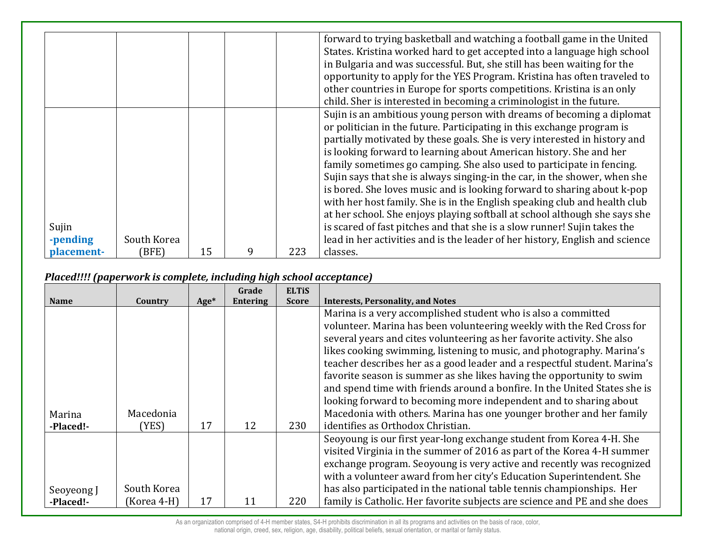|            |             |    |   |     | forward to trying basketball and watching a football game in the United      |
|------------|-------------|----|---|-----|------------------------------------------------------------------------------|
|            |             |    |   |     | States. Kristina worked hard to get accepted into a language high school     |
|            |             |    |   |     | in Bulgaria and was successful. But, she still has been waiting for the      |
|            |             |    |   |     | opportunity to apply for the YES Program. Kristina has often traveled to     |
|            |             |    |   |     | other countries in Europe for sports competitions. Kristina is an only       |
|            |             |    |   |     | child. Sher is interested in becoming a criminologist in the future.         |
|            |             |    |   |     | Sujin is an ambitious young person with dreams of becoming a diplomat        |
|            |             |    |   |     | or politician in the future. Participating in this exchange program is       |
|            |             |    |   |     | partially motivated by these goals. She is very interested in history and    |
|            |             |    |   |     | is looking forward to learning about American history. She and her           |
|            |             |    |   |     | family sometimes go camping. She also used to participate in fencing.        |
|            |             |    |   |     | Sujin says that she is always singing-in the car, in the shower, when she    |
|            |             |    |   |     | is bored. She loves music and is looking forward to sharing about k-pop      |
|            |             |    |   |     | with her host family. She is in the English speaking club and health club    |
|            |             |    |   |     | at her school. She enjoys playing softball at school although she says she   |
| Sujin      |             |    |   |     | is scared of fast pitches and that she is a slow runner! Sujin takes the     |
| -pending   | South Korea |    |   |     | lead in her activities and is the leader of her history, English and science |
| placement- | (BFE)       | 15 | q | 223 | classes.                                                                     |

## *Placed!!!! (paperwork is complete, including high school acceptance)*

|             |             |        | Grade           | <b>ELTIS</b> |                                                                           |
|-------------|-------------|--------|-----------------|--------------|---------------------------------------------------------------------------|
| <b>Name</b> | Country     | $Age*$ | <b>Entering</b> | <b>Score</b> | <b>Interests, Personality, and Notes</b>                                  |
|             |             |        |                 |              | Marina is a very accomplished student who is also a committed             |
|             |             |        |                 |              | volunteer. Marina has been volunteering weekly with the Red Cross for     |
|             |             |        |                 |              | several years and cites volunteering as her favorite activity. She also   |
|             |             |        |                 |              | likes cooking swimming, listening to music, and photography. Marina's     |
|             |             |        |                 |              | teacher describes her as a good leader and a respectful student. Marina's |
|             |             |        |                 |              | favorite season is summer as she likes having the opportunity to swim     |
|             |             |        |                 |              | and spend time with friends around a bonfire. In the United States she is |
|             |             |        |                 |              | looking forward to becoming more independent and to sharing about         |
| Marina      | Macedonia   |        |                 |              | Macedonia with others. Marina has one younger brother and her family      |
| -Placed!-   | (YES)       | 17     | 12              | 230          | identifies as Orthodox Christian.                                         |
|             |             |        |                 |              | Seoyoung is our first year-long exchange student from Korea 4-H. She      |
|             |             |        |                 |              | visited Virginia in the summer of 2016 as part of the Korea 4-H summer    |
|             |             |        |                 |              | exchange program. Seoyoung is very active and recently was recognized     |
|             |             |        |                 |              | with a volunteer award from her city's Education Superintendent. She      |
| Seoveong J  | South Korea |        |                 |              | has also participated in the national table tennis championships. Her     |
| -Placed!-   | (Korea 4-H) | 17     | 11              | 220          | family is Catholic. Her favorite subjects are science and PE and she does |

As an organization comprised of 4-H member states, S4-H prohibits discrimination in all its programs and activities on the basis of race, color,

national origin, creed, sex, religion, age, disability, political beliefs, sexual orientation, or marital or family status.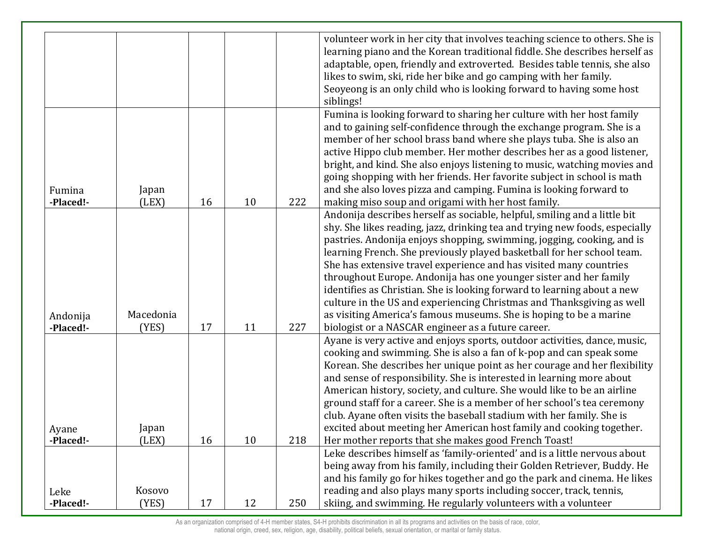|                    |                |    |    |     | volunteer work in her city that involves teaching science to others. She is |
|--------------------|----------------|----|----|-----|-----------------------------------------------------------------------------|
|                    |                |    |    |     | learning piano and the Korean traditional fiddle. She describes herself as  |
|                    |                |    |    |     | adaptable, open, friendly and extroverted. Besides table tennis, she also   |
|                    |                |    |    |     | likes to swim, ski, ride her bike and go camping with her family.           |
|                    |                |    |    |     |                                                                             |
|                    |                |    |    |     | Seoyeong is an only child who is looking forward to having some host        |
|                    |                |    |    |     | siblings!                                                                   |
|                    |                |    |    |     | Fumina is looking forward to sharing her culture with her host family       |
|                    |                |    |    |     | and to gaining self-confidence through the exchange program. She is a       |
|                    |                |    |    |     | member of her school brass band where she plays tuba. She is also an        |
|                    |                |    |    |     | active Hippo club member. Her mother describes her as a good listener,      |
|                    |                |    |    |     | bright, and kind. She also enjoys listening to music, watching movies and   |
|                    |                |    |    |     | going shopping with her friends. Her favorite subject in school is math     |
| Fumina             | Japan          |    |    |     | and she also loves pizza and camping. Fumina is looking forward to          |
| -Placed!-          | (LEX)          | 16 | 10 | 222 | making miso soup and origami with her host family.                          |
|                    |                |    |    |     | Andonija describes herself as sociable, helpful, smiling and a little bit   |
|                    |                |    |    |     | shy. She likes reading, jazz, drinking tea and trying new foods, especially |
|                    |                |    |    |     | pastries. Andonija enjoys shopping, swimming, jogging, cooking, and is      |
|                    |                |    |    |     | learning French. She previously played basketball for her school team.      |
|                    |                |    |    |     | She has extensive travel experience and has visited many countries          |
|                    |                |    |    |     | throughout Europe. Andonija has one younger sister and her family           |
|                    |                |    |    |     | identifies as Christian. She is looking forward to learning about a new     |
|                    |                |    |    |     | culture in the US and experiencing Christmas and Thanksgiving as well       |
| Andonija           | Macedonia      |    |    |     | as visiting America's famous museums. She is hoping to be a marine          |
| -Placed!-          | (YES)          | 17 | 11 | 227 | biologist or a NASCAR engineer as a future career.                          |
|                    |                |    |    |     | Ayane is very active and enjoys sports, outdoor activities, dance, music,   |
|                    |                |    |    |     | cooking and swimming. She is also a fan of k-pop and can speak some         |
|                    |                |    |    |     | Korean. She describes her unique point as her courage and her flexibility   |
|                    |                |    |    |     | and sense of responsibility. She is interested in learning more about       |
|                    |                |    |    |     | American history, society, and culture. She would like to be an airline     |
|                    |                |    |    |     | ground staff for a career. She is a member of her school's tea ceremony     |
|                    |                |    |    |     | club. Ayane often visits the baseball stadium with her family. She is       |
|                    |                |    |    |     | excited about meeting her American host family and cooking together.        |
| Ayane<br>-Placed!- | Japan<br>(LEX) | 16 | 10 | 218 | Her mother reports that she makes good French Toast!                        |
|                    |                |    |    |     | Leke describes himself as 'family-oriented' and is a little nervous about   |
|                    |                |    |    |     | being away from his family, including their Golden Retriever, Buddy. He     |
|                    |                |    |    |     |                                                                             |
|                    |                |    |    |     | and his family go for hikes together and go the park and cinema. He likes   |
| Leke               | Kosovo         |    |    |     | reading and also plays many sports including soccer, track, tennis,         |
| -Placed!-          | (YES)          | 17 | 12 | 250 | skiing, and swimming. He regularly volunteers with a volunteer              |

As an organization comprised of 4-H member states, S4-H prohibits discrimination in all its programs and activities on the basis of race, color,

national origin, creed, sex, religion, age, disability, political beliefs, sexual orientation, or marital or family status.